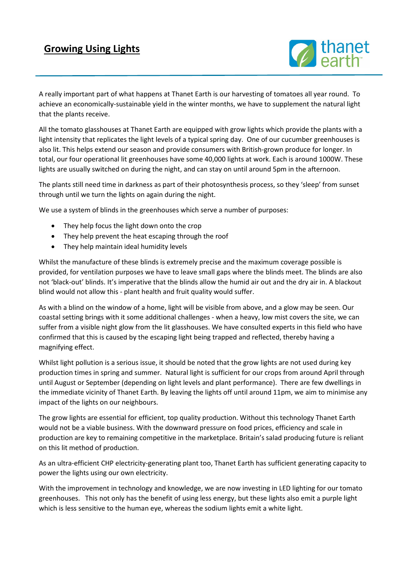## **Growing Using Lights**



A really important part of what happens at Thanet Earth is our harvesting of tomatoes all year round. To achieve an economically-sustainable yield in the winter months, we have to supplement the natural light that the plants receive.

All the tomato glasshouses at Thanet Earth are equipped with grow lights which provide the plants with a light intensity that replicates the light levels of a typical spring day. One of our cucumber greenhouses is also lit. This helps extend our season and provide consumers with British-grown produce for longer. In total, our four operational lit greenhouses have some 40,000 lights at work. Each is around 1000W. These lights are usually switched on during the night, and can stay on until around 5pm in the afternoon.

The plants still need time in darkness as part of their photosynthesis process, so they 'sleep' from sunset through until we turn the lights on again during the night.

We use a system of blinds in the greenhouses which serve a number of purposes:

- They help focus the light down onto the crop
- They help prevent the heat escaping through the roof
- They help maintain ideal humidity levels

Whilst the manufacture of these blinds is extremely precise and the maximum coverage possible is provided, for ventilation purposes we have to leave small gaps where the blinds meet. The blinds are also not 'black-out' blinds. It's imperative that the blinds allow the humid air out and the dry air in. A blackout blind would not allow this - plant health and fruit quality would suffer.

As with a blind on the window of a home, light will be visible from above, and a glow may be seen. Our coastal setting brings with it some additional challenges - when a heavy, low mist covers the site, we can suffer from a visible night glow from the lit glasshouses. We have consulted experts in this field who have confirmed that this is caused by the escaping light being trapped and reflected, thereby having a magnifying effect.

Whilst light pollution is a serious issue, it should be noted that the grow lights are not used during key production times in spring and summer. Natural light is sufficient for our crops from around April through until August or September (depending on light levels and plant performance). There are few dwellings in the immediate vicinity of Thanet Earth. By leaving the lights off until around 11pm, we aim to minimise any impact of the lights on our neighbours.

The grow lights are essential for efficient, top quality production. Without this technology Thanet Earth would not be a viable business. With the downward pressure on food prices, efficiency and scale in production are key to remaining competitive in the marketplace. Britain's salad producing future is reliant on this lit method of production.

As an ultra-efficient CHP electricity-generating plant too, Thanet Earth has sufficient generating capacity to power the lights using our own electricity.

With the improvement in technology and knowledge, we are now investing in LED lighting for our tomato greenhouses. This not only has the benefit of using less energy, but these lights also emit a purple light which is less sensitive to the human eye, whereas the sodium lights emit a white light.